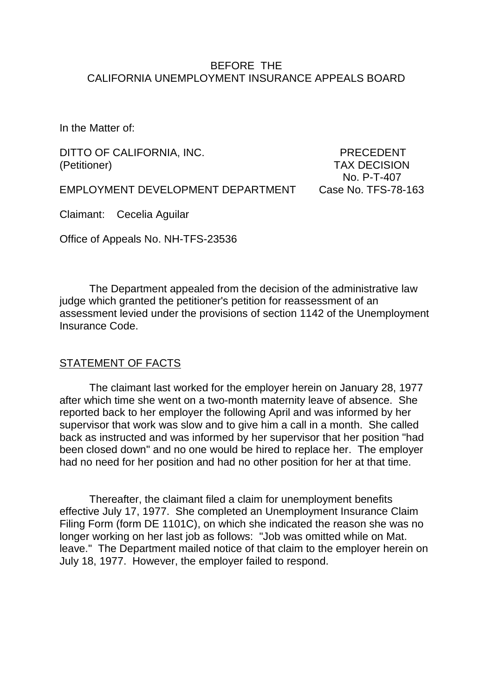### BEFORE THE CALIFORNIA UNEMPLOYMENT INSURANCE APPEALS BOARD

In the Matter of:

DITTO OF CALIFORNIA, INC. PRECEDENT (Petitioner) TAX DECISION

No. P-T-407

EMPLOYMENT DEVELOPMENT DEPARTMENT Case No. TFS-78-163

Claimant: Cecelia Aguilar

Office of Appeals No. NH-TFS-23536

The Department appealed from the decision of the administrative law judge which granted the petitioner's petition for reassessment of an assessment levied under the provisions of section 1142 of the Unemployment Insurance Code.

### STATEMENT OF FACTS

The claimant last worked for the employer herein on January 28, 1977 after which time she went on a two-month maternity leave of absence. She reported back to her employer the following April and was informed by her supervisor that work was slow and to give him a call in a month. She called back as instructed and was informed by her supervisor that her position "had been closed down" and no one would be hired to replace her. The employer had no need for her position and had no other position for her at that time.

Thereafter, the claimant filed a claim for unemployment benefits effective July 17, 1977. She completed an Unemployment Insurance Claim Filing Form (form DE 1101C), on which she indicated the reason she was no longer working on her last job as follows: "Job was omitted while on Mat. leave." The Department mailed notice of that claim to the employer herein on July 18, 1977. However, the employer failed to respond.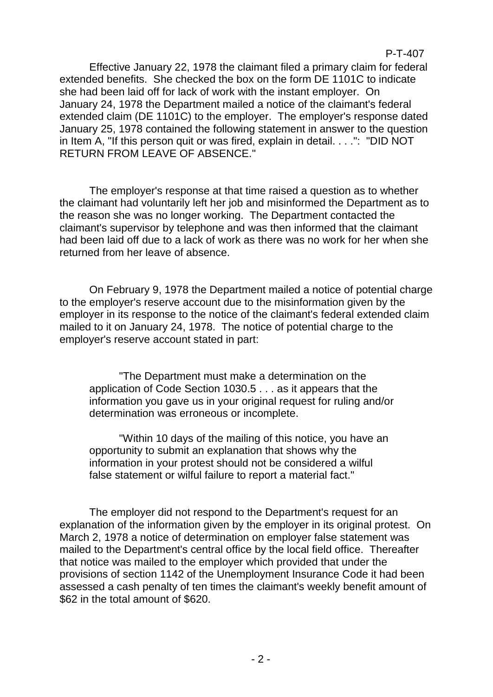### P-T-407

Effective January 22, 1978 the claimant filed a primary claim for federal extended benefits. She checked the box on the form DE 1101C to indicate she had been laid off for lack of work with the instant employer. On January 24, 1978 the Department mailed a notice of the claimant's federal extended claim (DE 1101C) to the employer. The employer's response dated January 25, 1978 contained the following statement in answer to the question in Item A, "If this person quit or was fired, explain in detail. . . .": "DID NOT RETURN FROM LEAVE OF ABSENCE."

The employer's response at that time raised a question as to whether the claimant had voluntarily left her job and misinformed the Department as to the reason she was no longer working. The Department contacted the claimant's supervisor by telephone and was then informed that the claimant had been laid off due to a lack of work as there was no work for her when she returned from her leave of absence.

On February 9, 1978 the Department mailed a notice of potential charge to the employer's reserve account due to the misinformation given by the employer in its response to the notice of the claimant's federal extended claim mailed to it on January 24, 1978. The notice of potential charge to the employer's reserve account stated in part:

"The Department must make a determination on the application of Code Section 1030.5 . . . as it appears that the information you gave us in your original request for ruling and/or determination was erroneous or incomplete.

"Within 10 days of the mailing of this notice, you have an opportunity to submit an explanation that shows why the information in your protest should not be considered a wilful false statement or wilful failure to report a material fact."

The employer did not respond to the Department's request for an explanation of the information given by the employer in its original protest. On March 2, 1978 a notice of determination on employer false statement was mailed to the Department's central office by the local field office. Thereafter that notice was mailed to the employer which provided that under the provisions of section 1142 of the Unemployment Insurance Code it had been assessed a cash penalty of ten times the claimant's weekly benefit amount of \$62 in the total amount of \$620.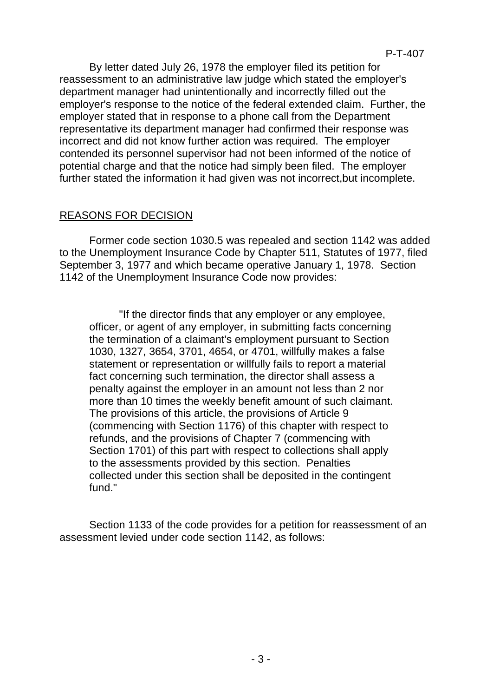By letter dated July 26, 1978 the employer filed its petition for reassessment to an administrative law judge which stated the employer's department manager had unintentionally and incorrectly filled out the employer's response to the notice of the federal extended claim. Further, the employer stated that in response to a phone call from the Department representative its department manager had confirmed their response was incorrect and did not know further action was required. The employer contended its personnel supervisor had not been informed of the notice of potential charge and that the notice had simply been filed. The employer further stated the information it had given was not incorrect,but incomplete.

# REASONS FOR DECISION

Former code section 1030.5 was repealed and section 1142 was added to the Unemployment Insurance Code by Chapter 511, Statutes of 1977, filed September 3, 1977 and which became operative January 1, 1978. Section 1142 of the Unemployment Insurance Code now provides:

"If the director finds that any employer or any employee, officer, or agent of any employer, in submitting facts concerning the termination of a claimant's employment pursuant to Section 1030, 1327, 3654, 3701, 4654, or 4701, willfully makes a false statement or representation or willfully fails to report a material fact concerning such termination, the director shall assess a penalty against the employer in an amount not less than 2 nor more than 10 times the weekly benefit amount of such claimant. The provisions of this article, the provisions of Article 9 (commencing with Section 1176) of this chapter with respect to refunds, and the provisions of Chapter 7 (commencing with Section 1701) of this part with respect to collections shall apply to the assessments provided by this section. Penalties collected under this section shall be deposited in the contingent fund."

Section 1133 of the code provides for a petition for reassessment of an assessment levied under code section 1142, as follows: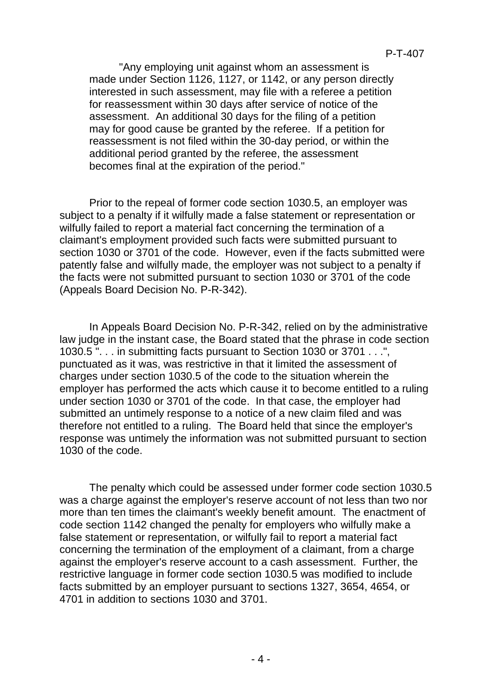"Any employing unit against whom an assessment is made under Section 1126, 1127, or 1142, or any person directly interested in such assessment, may file with a referee a petition for reassessment within 30 days after service of notice of the assessment. An additional 30 days for the filing of a petition may for good cause be granted by the referee. If a petition for reassessment is not filed within the 30-day period, or within the additional period granted by the referee, the assessment becomes final at the expiration of the period."

Prior to the repeal of former code section 1030.5, an employer was subject to a penalty if it wilfully made a false statement or representation or wilfully failed to report a material fact concerning the termination of a claimant's employment provided such facts were submitted pursuant to section 1030 or 3701 of the code. However, even if the facts submitted were patently false and wilfully made, the employer was not subject to a penalty if the facts were not submitted pursuant to section 1030 or 3701 of the code (Appeals Board Decision No. P-R-342).

In Appeals Board Decision No. P-R-342, relied on by the administrative law judge in the instant case, the Board stated that the phrase in code section 1030.5 ". . . in submitting facts pursuant to Section 1030 or 3701 . . .", punctuated as it was, was restrictive in that it limited the assessment of charges under section 1030.5 of the code to the situation wherein the employer has performed the acts which cause it to become entitled to a ruling under section 1030 or 3701 of the code. In that case, the employer had submitted an untimely response to a notice of a new claim filed and was therefore not entitled to a ruling. The Board held that since the employer's response was untimely the information was not submitted pursuant to section 1030 of the code.

The penalty which could be assessed under former code section 1030.5 was a charge against the employer's reserve account of not less than two nor more than ten times the claimant's weekly benefit amount. The enactment of code section 1142 changed the penalty for employers who wilfully make a false statement or representation, or wilfully fail to report a material fact concerning the termination of the employment of a claimant, from a charge against the employer's reserve account to a cash assessment. Further, the restrictive language in former code section 1030.5 was modified to include facts submitted by an employer pursuant to sections 1327, 3654, 4654, or 4701 in addition to sections 1030 and 3701.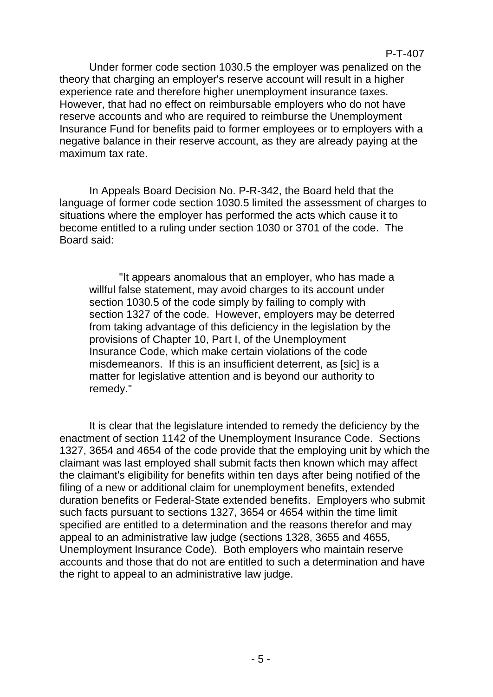Under former code section 1030.5 the employer was penalized on the theory that charging an employer's reserve account will result in a higher experience rate and therefore higher unemployment insurance taxes. However, that had no effect on reimbursable employers who do not have reserve accounts and who are required to reimburse the Unemployment Insurance Fund for benefits paid to former employees or to employers with a negative balance in their reserve account, as they are already paying at the maximum tax rate.

In Appeals Board Decision No. P-R-342, the Board held that the language of former code section 1030.5 limited the assessment of charges to situations where the employer has performed the acts which cause it to become entitled to a ruling under section 1030 or 3701 of the code. The Board said:

"It appears anomalous that an employer, who has made a willful false statement, may avoid charges to its account under section 1030.5 of the code simply by failing to comply with section 1327 of the code. However, employers may be deterred from taking advantage of this deficiency in the legislation by the provisions of Chapter 10, Part I, of the Unemployment Insurance Code, which make certain violations of the code misdemeanors. If this is an insufficient deterrent, as [sic] is a matter for legislative attention and is beyond our authority to remedy."

It is clear that the legislature intended to remedy the deficiency by the enactment of section 1142 of the Unemployment Insurance Code. Sections 1327, 3654 and 4654 of the code provide that the employing unit by which the claimant was last employed shall submit facts then known which may affect the claimant's eligibility for benefits within ten days after being notified of the filing of a new or additional claim for unemployment benefits, extended duration benefits or Federal-State extended benefits. Employers who submit such facts pursuant to sections 1327, 3654 or 4654 within the time limit specified are entitled to a determination and the reasons therefor and may appeal to an administrative law judge (sections 1328, 3655 and 4655, Unemployment Insurance Code). Both employers who maintain reserve accounts and those that do not are entitled to such a determination and have the right to appeal to an administrative law judge.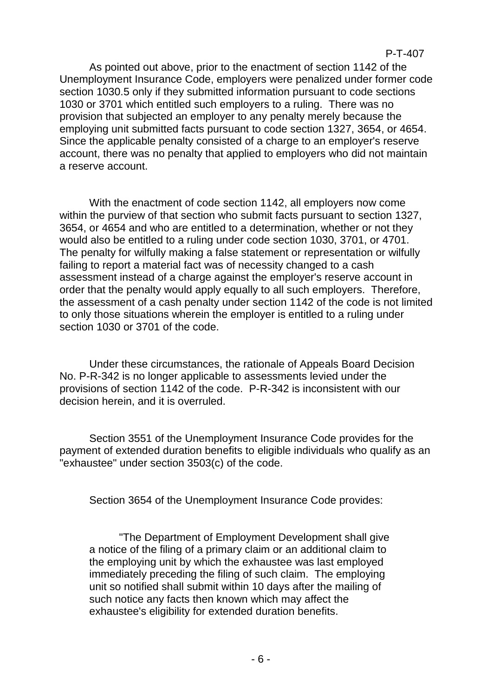As pointed out above, prior to the enactment of section 1142 of the Unemployment Insurance Code, employers were penalized under former code section 1030.5 only if they submitted information pursuant to code sections 1030 or 3701 which entitled such employers to a ruling. There was no provision that subjected an employer to any penalty merely because the employing unit submitted facts pursuant to code section 1327, 3654, or 4654. Since the applicable penalty consisted of a charge to an employer's reserve account, there was no penalty that applied to employers who did not maintain a reserve account.

With the enactment of code section 1142, all employers now come within the purview of that section who submit facts pursuant to section 1327, 3654, or 4654 and who are entitled to a determination, whether or not they would also be entitled to a ruling under code section 1030, 3701, or 4701. The penalty for wilfully making a false statement or representation or wilfully failing to report a material fact was of necessity changed to a cash assessment instead of a charge against the employer's reserve account in order that the penalty would apply equally to all such employers. Therefore, the assessment of a cash penalty under section 1142 of the code is not limited to only those situations wherein the employer is entitled to a ruling under section 1030 or 3701 of the code.

Under these circumstances, the rationale of Appeals Board Decision No. P-R-342 is no longer applicable to assessments levied under the provisions of section 1142 of the code. P-R-342 is inconsistent with our decision herein, and it is overruled.

Section 3551 of the Unemployment Insurance Code provides for the payment of extended duration benefits to eligible individuals who qualify as an "exhaustee" under section 3503(c) of the code.

Section 3654 of the Unemployment Insurance Code provides:

"The Department of Employment Development shall give a notice of the filing of a primary claim or an additional claim to the employing unit by which the exhaustee was last employed immediately preceding the filing of such claim. The employing unit so notified shall submit within 10 days after the mailing of such notice any facts then known which may affect the exhaustee's eligibility for extended duration benefits.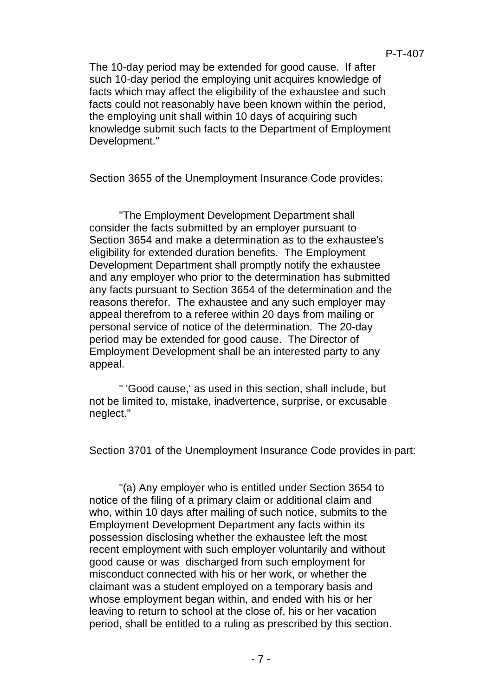The 10-day period may be extended for good cause. If after such 10-day period the employing unit acquires knowledge of facts which may affect the eligibility of the exhaustee and such facts could not reasonably have been known within the period, the employing unit shall within 10 days of acquiring such knowledge submit such facts to the Department of Employment Development."

Section 3655 of the Unemployment Insurance Code provides:

"The Employment Development Department shall consider the facts submitted by an employer pursuant to Section 3654 and make a determination as to the exhaustee's eligibility for extended duration benefits. The Employment Development Department shall promptly notify the exhaustee and any employer who prior to the determination has submitted any facts pursuant to Section 3654 of the determination and the reasons therefor. The exhaustee and any such employer may appeal therefrom to a referee within 20 days from mailing or personal service of notice of the determination. The 20-day period may be extended for good cause. The Director of Employment Development shall be an interested party to any appeal.

" 'Good cause,' as used in this section, shall include, but not be limited to, mistake, inadvertence, surprise, or excusable neglect."

Section 3701 of the Unemployment Insurance Code provides in part:

"(a) Any employer who is entitled under Section 3654 to notice of the filing of a primary claim or additional claim and who, within 10 days after mailing of such notice, submits to the Employment Development Department any facts within its possession disclosing whether the exhaustee left the most recent employment with such employer voluntarily and without good cause or was discharged from such employment for misconduct connected with his or her work, or whether the claimant was a student employed on a temporary basis and whose employment began within, and ended with his or her leaving to return to school at the close of, his or her vacation period, shall be entitled to a ruling as prescribed by this section.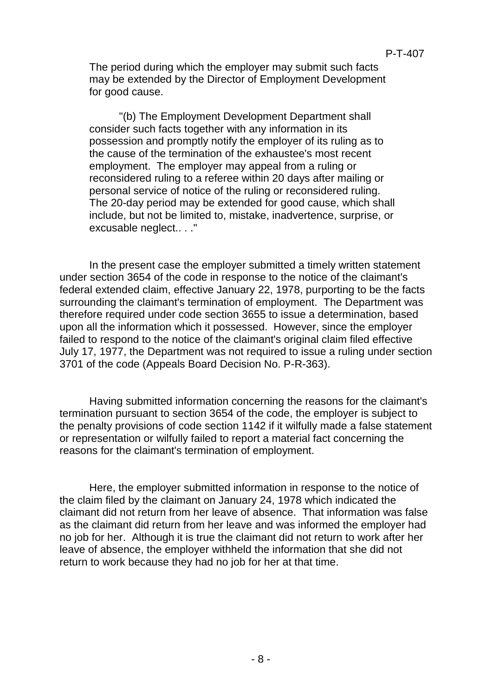The period during which the employer may submit such facts may be extended by the Director of Employment Development for good cause.

"(b) The Employment Development Department shall consider such facts together with any information in its possession and promptly notify the employer of its ruling as to the cause of the termination of the exhaustee's most recent employment. The employer may appeal from a ruling or reconsidered ruling to a referee within 20 days after mailing or personal service of notice of the ruling or reconsidered ruling. The 20-day period may be extended for good cause, which shall include, but not be limited to, mistake, inadvertence, surprise, or excusable neglect.. . ."

In the present case the employer submitted a timely written statement under section 3654 of the code in response to the notice of the claimant's federal extended claim, effective January 22, 1978, purporting to be the facts surrounding the claimant's termination of employment. The Department was therefore required under code section 3655 to issue a determination, based upon all the information which it possessed. However, since the employer failed to respond to the notice of the claimant's original claim filed effective July 17, 1977, the Department was not required to issue a ruling under section 3701 of the code (Appeals Board Decision No. P-R-363).

Having submitted information concerning the reasons for the claimant's termination pursuant to section 3654 of the code, the employer is subject to the penalty provisions of code section 1142 if it wilfully made a false statement or representation or wilfully failed to report a material fact concerning the reasons for the claimant's termination of employment.

Here, the employer submitted information in response to the notice of the claim filed by the claimant on January 24, 1978 which indicated the claimant did not return from her leave of absence. That information was false as the claimant did return from her leave and was informed the employer had no job for her. Although it is true the claimant did not return to work after her leave of absence, the employer withheld the information that she did not return to work because they had no job for her at that time.